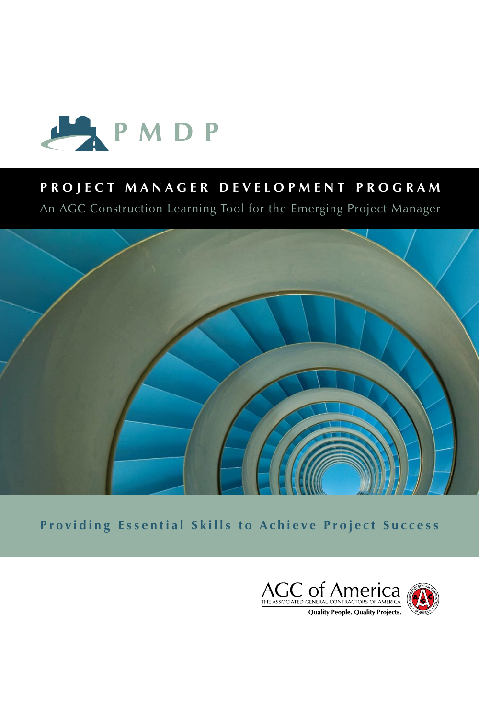

# **PROJECT MANAGER DEVELOPMENT PROGRAM**

An AGC Construction Learning Tool for the Emerging Project Manager



**Providing Essential Skills to Achieve Project Success**

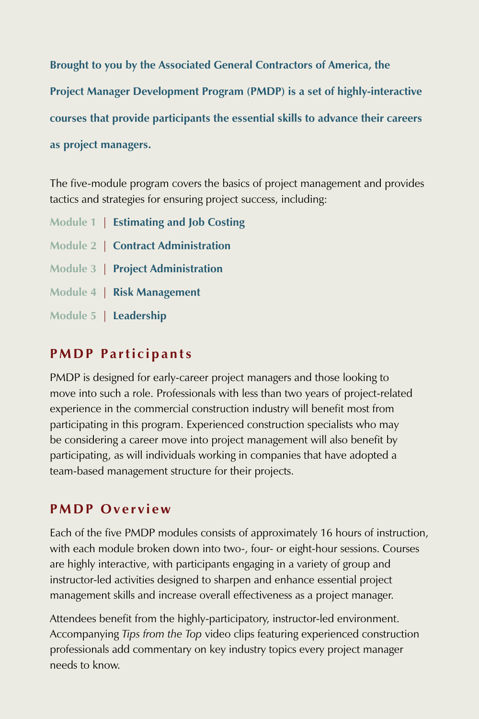**Brought to you by the Associated General Contractors of America, the Project Manager Development Program (PMDP) is a set of highly-interactive courses that provide participants the essential skills to advance their careers as project managers.**

The five-module program covers the basics of project management and provides tactics and strategies for ensuring project success, including:

**Module 1** | **Estimating and Job Costing Module 2** | **Contract Administration Module 3** | **Project Administration Module 4** | **Risk Management Module 5** | **Leadership**

# **PMDP Participants**

PMDP is designed for early-career project managers and those looking to move into such a role. Professionals with less than two years of project-related experience in the commercial construction industry will benefit most from participating in this program. Experienced construction specialists who may be considering a career move into project management will also benefit by participating, as will individuals working in companies that have adopted a team-based management structure for their projects.

# **PMDP Overview**

Each of the five PMDP modules consists of approximately 16 hours of instruction, with each module broken down into two-, four- or eight-hour sessions. Courses are highly interactive, with participants engaging in a variety of group and instructor-led activities designed to sharpen and enhance essential project management skills and increase overall effectiveness as a project manager.

Attendees benefit from the highly-participatory, instructor-led environment. Accompanying *Tips from the Top* video clips featuring experienced construction professionals add commentary on key industry topics every project manager needs to know.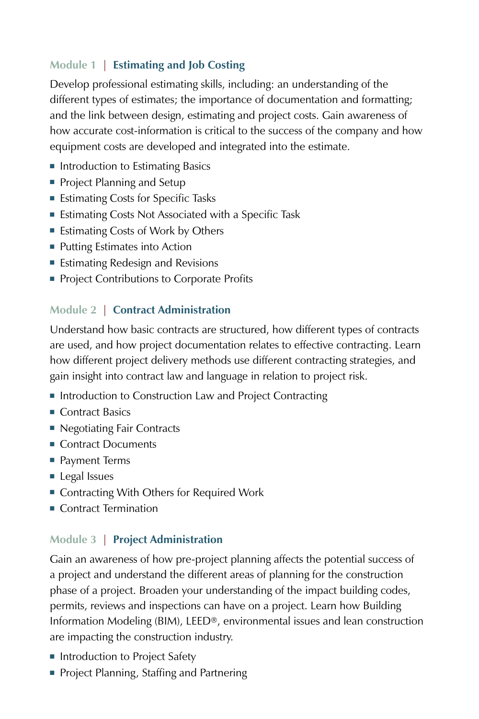### **Module 1** | **Estimating and Job Costing**

Develop professional estimating skills, including: an understanding of the different types of estimates; the importance of documentation and formatting; and the link between design, estimating and project costs. Gain awareness of how accurate cost-information is critical to the success of the company and how equipment costs are developed and integrated into the estimate.

- $\blacksquare$  Introduction to Estimating Basics
- Project Planning and Setup
- Estimating Costs for Specific Tasks
- Estimating Costs Not Associated with a Specific Task
- Estimating Costs of Work by Others
- Putting Estimates into Action
- Estimating Redesign and Revisions
- **Project Contributions to Corporate Profits**

### **Module 2** | **Contract Administration**

Understand how basic contracts are structured, how different types of contracts are used, and how project documentation relates to effective contracting. Learn how different project delivery methods use different contracting strategies, and gain insight into contract law and language in relation to project risk.

- Introduction to Construction Law and Project Contracting
- Contract Basics
- Negotiating Fair Contracts
- Contract Documents
- Payment Terms
- $\blacksquare$  Legal Issues
- Contracting With Others for Required Work
- $\blacksquare$  Contract Termination

## **Module 3** | **Project Administration**

Gain an awareness of how pre-project planning affects the potential success of a project and understand the different areas of planning for the construction phase of a project. Broaden your understanding of the impact building codes, permits, reviews and inspections can have on a project. Learn how Building Information Modeling (BIM), LEED®, environmental issues and lean construction are impacting the construction industry.

- Introduction to Project Safety
- **Project Planning, Staffing and Partnering**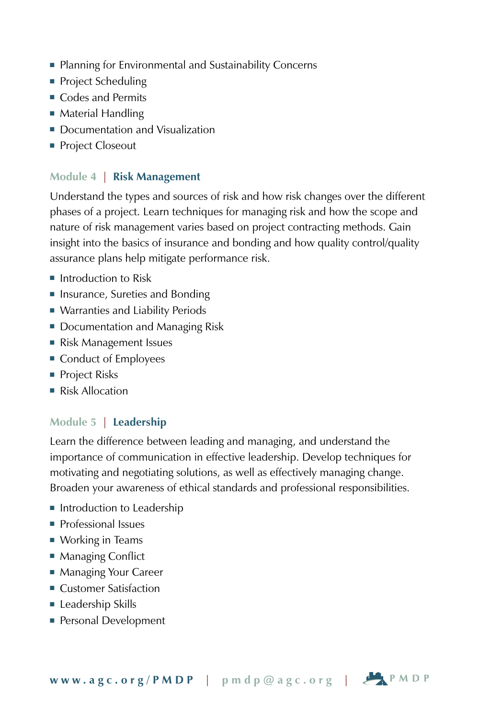- Planning for Environmental and Sustainability Concerns
- **Project Scheduling**
- Codes and Permits
- $\blacksquare$  Material Handling
- **Documentation and Visualization**
- Project Closeout

#### **Module 4** | **Risk Management**

Understand the types and sources of risk and how risk changes over the different phases of a project. Learn techniques for managing risk and how the scope and nature of risk management varies based on project contracting methods. Gain insight into the basics of insurance and bonding and how quality control/quality assurance plans help mitigate performance risk.

- $\blacksquare$  Introduction to Risk
- **n** Insurance, Sureties and Bonding
- Warranties and Liability Periods
- **Documentation and Managing Risk**
- Risk Management Issues
- **Conduct of Employees**
- **Project Risks**
- $\blacksquare$  Risk Allocation

### **Module 5** | **Leadership**

Learn the difference between leading and managing, and understand the importance of communication in effective leadership. Develop techniques for motivating and negotiating solutions, as well as effectively managing change. Broaden your awareness of ethical standards and professional responsibilities.

- **n** Introduction to Leadership
- **Professional Issues**
- $\blacksquare$  Working in Teams
- Managing Conflict
- **Managing Your Career**
- Customer Satisfaction
- Leadership Skills
- **Personal Development**

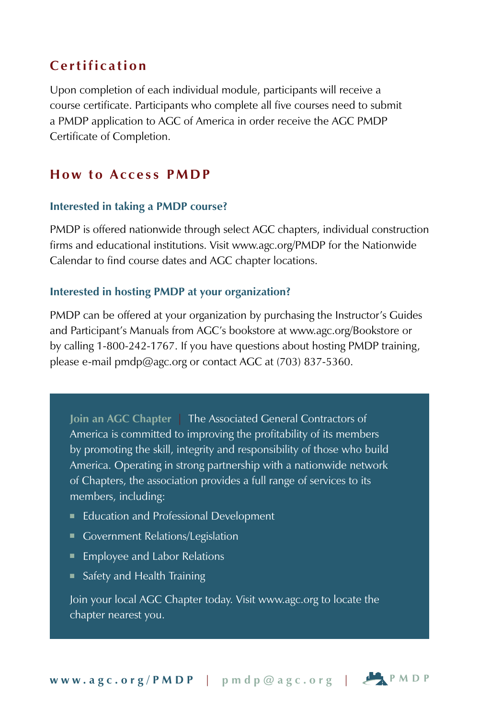## **Certification**

Upon completion of each individual module, participants will receive a course certificate. Participants who complete all five courses need to submit a PMDP application to AGC of America in order receive the AGC PMDP Certificate of Completion.

## **How to Access PMDP**

#### **Interested in taking a PMDP course?**

PMDP is offered nationwide through select AGC chapters, individual construction firms and educational institutions. Visit www.agc.org/PMDP for the Nationwide Calendar to find course dates and AGC chapter locations.

#### **Interested in hosting PMDP at your organization?**

PMDP can be offered at your organization by purchasing the Instructor's Guides and Participant's Manuals from AGC's bookstore at www.agc.org/Bookstore or by calling 1-800-242-1767. If you have questions about hosting PMDP training, please e-mail pmdp@agc.org or contact AGC at (703) 837-5360.

**Join an AGC Chapter** | The Associated General Contractors of America is committed to improving the profitability of its members by promoting the skill, integrity and responsibility of those who build America. Operating in strong partnership with a nationwide network of Chapters, the association provides a full range of services to its members, including:

- **Education and Professional Development**
- Government Relations/Legislation
- **Employee and Labor Relations**
- Safety and Health Training

Join your local AGC Chapter today. Visit www.agc.org to locate the chapter nearest you.